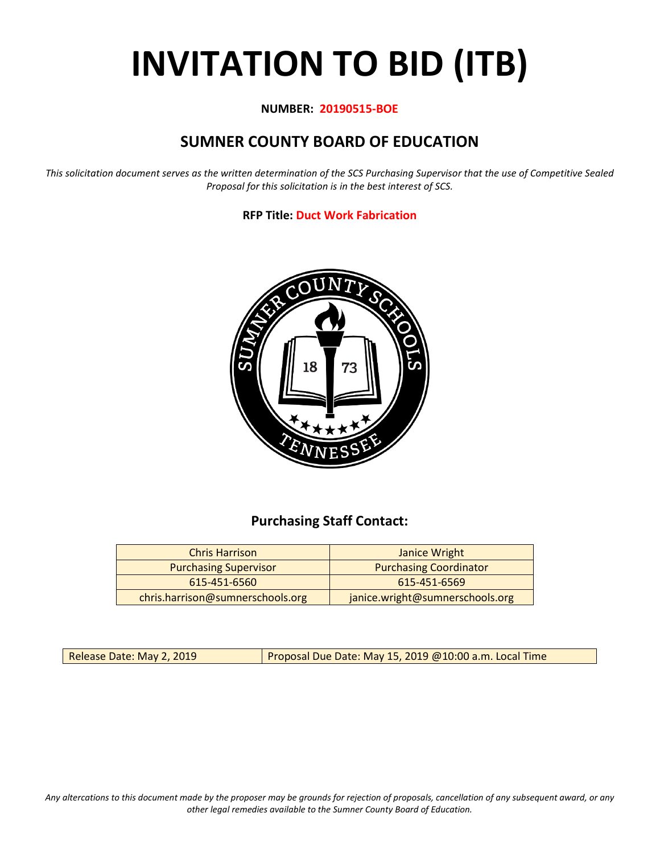# **INVITATION TO BID (ITB)**

#### **NUMBER: 20190515-BOE**

## **SUMNER COUNTY BOARD OF EDUCATION**

*This solicitation document serves as the written determination of the SCS Purchasing Supervisor that the use of Competitive Sealed Proposal for this solicitation is in the best interest of SCS.*

#### **RFP Title: Duct Work Fabrication**



## **Purchasing Staff Contact:**

| <b>Chris Harrison</b>            | Janice Wright                   |
|----------------------------------|---------------------------------|
| <b>Purchasing Supervisor</b>     | <b>Purchasing Coordinator</b>   |
| 615-451-6560                     | 615-451-6569                    |
| chris.harrison@sumnerschools.org | janice.wright@sumnerschools.org |

Release Date: May 2, 2019 **Proposal Due Date: May 15, 2019 @10:00 a.m. Local Time** 

*Any altercations to this document made by the proposer may be grounds for rejection of proposals, cancellation of any subsequent award, or any other legal remedies available to the Sumner County Board of Education.*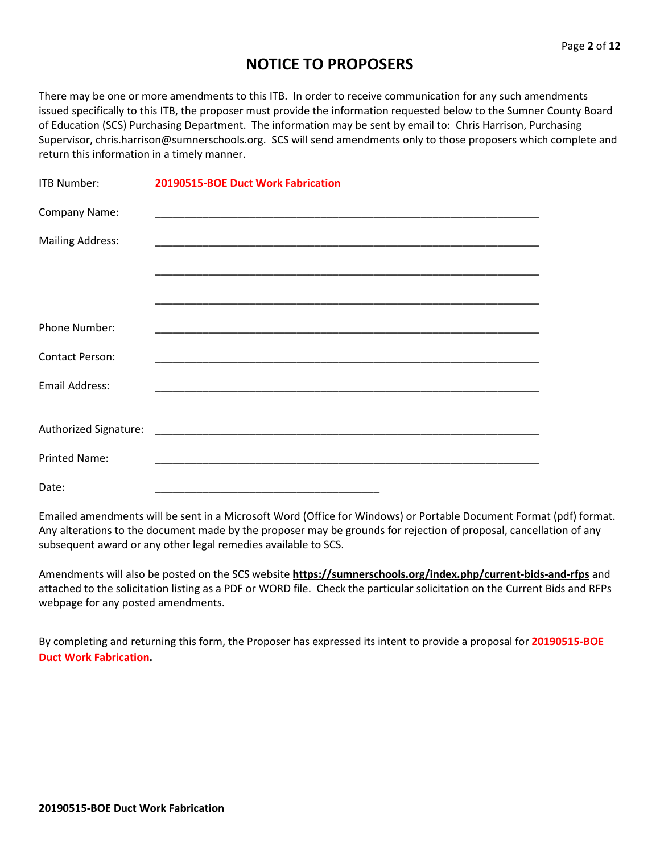## **NOTICE TO PROPOSERS**

There may be one or more amendments to this ITB. In order to receive communication for any such amendments issued specifically to this ITB, the proposer must provide the information requested below to the Sumner County Board of Education (SCS) Purchasing Department. The information may be sent by email to: Chris Harrison, Purchasing Supervisor, chris.harrison@sumnerschools.org. SCS will send amendments only to those proposers which complete and return this information in a timely manner.

| <b>ITB Number:</b>      | 20190515-BOE Duct Work Fabrication |
|-------------------------|------------------------------------|
| Company Name:           |                                    |
| <b>Mailing Address:</b> |                                    |
|                         |                                    |
|                         |                                    |
| <b>Phone Number:</b>    |                                    |
| <b>Contact Person:</b>  |                                    |
| <b>Email Address:</b>   |                                    |
|                         |                                    |
| <b>Printed Name:</b>    |                                    |
| Date:                   |                                    |

Emailed amendments will be sent in a Microsoft Word (Office for Windows) or Portable Document Format (pdf) format. Any alterations to the document made by the proposer may be grounds for rejection of proposal, cancellation of any subsequent award or any other legal remedies available to SCS.

Amendments will also be posted on the SCS website **https://sumnerschools.org/index.php/current-bids-and-rfps** and attached to the solicitation listing as a PDF or WORD file. Check the particular solicitation on the Current Bids and RFPs webpage for any posted amendments.

By completing and returning this form, the Proposer has expressed its intent to provide a proposal for **20190515-BOE Duct Work Fabrication.**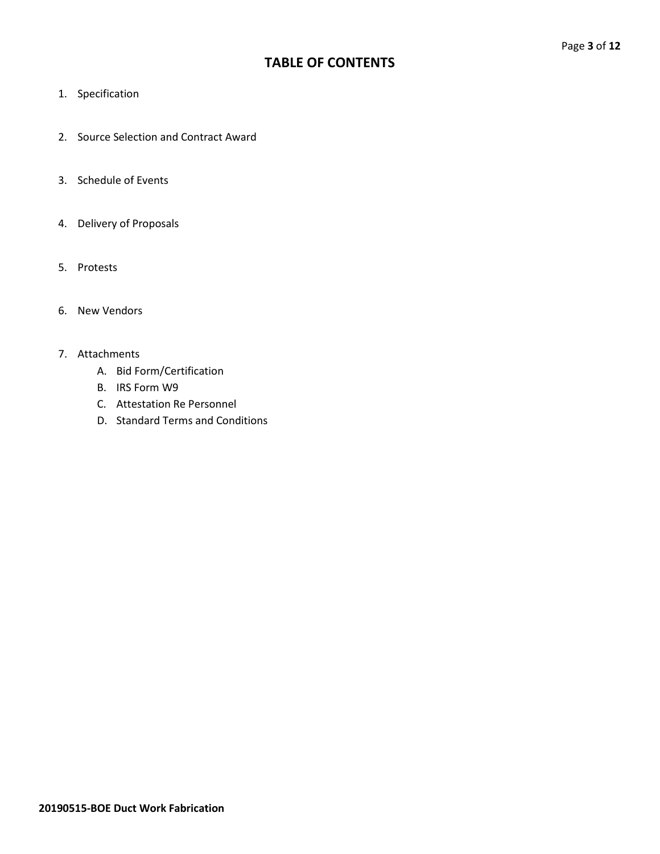## **TABLE OF CONTENTS**

- 1. Specification
- 2. Source Selection and Contract Award
- 3. Schedule of Events
- 4. Delivery of Proposals
- 5. Protests
- 6. New Vendors

#### 7. Attachments

- A. Bid Form/Certification
- B. IRS Form W9
- C. Attestation Re Personnel
- D. Standard Terms and Conditions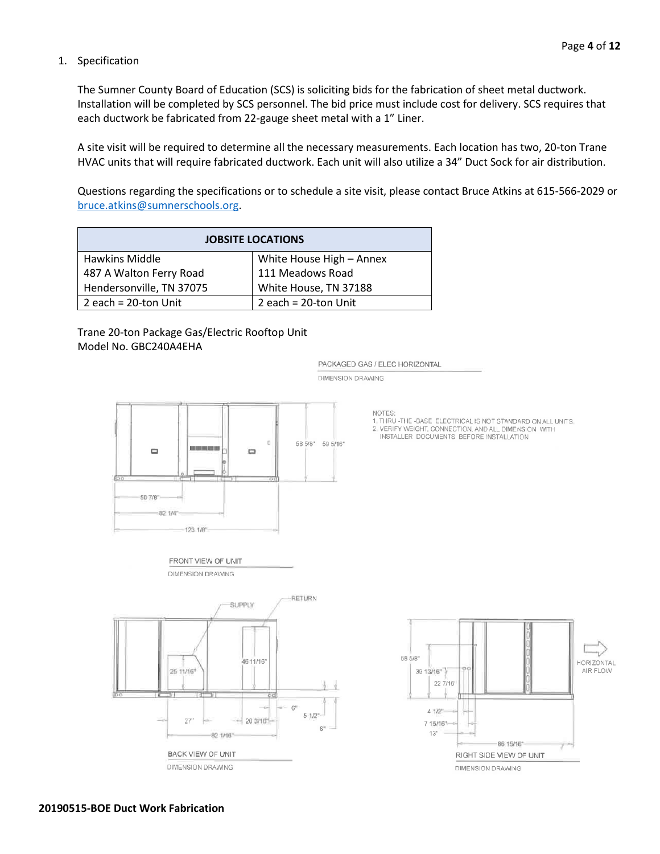AIR FLOW

#### 1. Specification

The Sumner County Board of Education (SCS) is soliciting bids for the fabrication of sheet metal ductwork. Installation will be completed by SCS personnel. The bid price must include cost for delivery. SCS requires that each ductwork be fabricated from 22-gauge sheet metal with a 1" Liner.

A site visit will be required to determine all the necessary measurements. Each location has two, 20-ton Trane HVAC units that will require fabricated ductwork. Each unit will also utilize a 34" Duct Sock for air distribution.

Questions regarding the specifications or to schedule a site visit, please contact Bruce Atkins at 615-566-2029 or [bruce.atkins@sumnerschools.org.](mailto:bruce.atkins@sumnerschools.org)

| <b>JOBSITE LOCATIONS</b> |                          |  |  |  |  |
|--------------------------|--------------------------|--|--|--|--|
| Hawkins Middle           | White House High - Annex |  |  |  |  |
| 487 A Walton Ferry Road  | 111 Meadows Road         |  |  |  |  |
| Hendersonville, TN 37075 | White House, TN 37188    |  |  |  |  |
| 2 each = $20$ -ton Unit  | 2 each = 20-ton Unit     |  |  |  |  |

Trane 20-ton Package Gas/Electric Rooftop Unit Model No. GBC240A4EHA



**NOTES** 

PACKAGED GAS / ELEC HORIZONTAL

**DIMENSION DRAWING** 

ALTHRU-THE-BASE ELECTRICAL IS NOT STANDARD ON ALL UNITS<br>2. VERIFY WEIGHT, CONNECTION, AND ALL DIMENSION WITH<br>INSTALLER DOCUMENTS BEFORE INSTALLATION

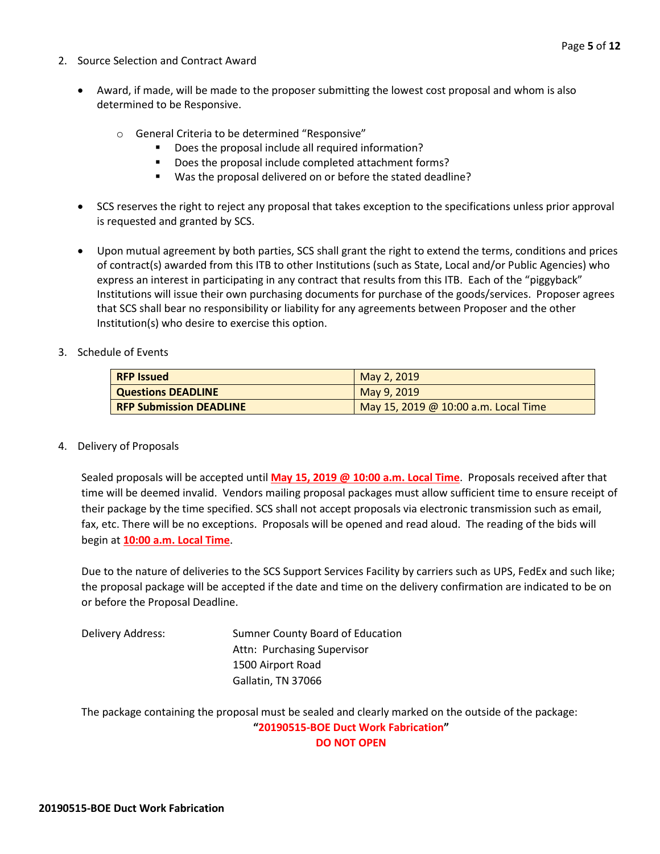- 2. Source Selection and Contract Award
	- Award, if made, will be made to the proposer submitting the lowest cost proposal and whom is also determined to be Responsive.
		- o General Criteria to be determined "Responsive"
			- **Does the proposal include all required information?**
			- Does the proposal include completed attachment forms?
			- Was the proposal delivered on or before the stated deadline?
	- SCS reserves the right to reject any proposal that takes exception to the specifications unless prior approval is requested and granted by SCS.
	- Upon mutual agreement by both parties, SCS shall grant the right to extend the terms, conditions and prices of contract(s) awarded from this ITB to other Institutions (such as State, Local and/or Public Agencies) who express an interest in participating in any contract that results from this ITB. Each of the "piggyback" Institutions will issue their own purchasing documents for purchase of the goods/services. Proposer agrees that SCS shall bear no responsibility or liability for any agreements between Proposer and the other Institution(s) who desire to exercise this option.
- 3. Schedule of Events

| <b>RFP Issued</b>              | May 2, 2019                          |
|--------------------------------|--------------------------------------|
| <b>Questions DEADLINE</b>      | May 9, 2019                          |
| <b>RFP Submission DEADLINE</b> | May 15, 2019 @ 10:00 a.m. Local Time |

4. Delivery of Proposals

Sealed proposals will be accepted until **May 15, 2019 @ 10:00 a.m. Local Time**. Proposals received after that time will be deemed invalid. Vendors mailing proposal packages must allow sufficient time to ensure receipt of their package by the time specified. SCS shall not accept proposals via electronic transmission such as email, fax, etc. There will be no exceptions. Proposals will be opened and read aloud. The reading of the bids will begin at **10:00 a.m. Local Time**.

Due to the nature of deliveries to the SCS Support Services Facility by carriers such as UPS, FedEx and such like; the proposal package will be accepted if the date and time on the delivery confirmation are indicated to be on or before the Proposal Deadline.

Delivery Address: Sumner County Board of Education Attn: Purchasing Supervisor 1500 Airport Road Gallatin, TN 37066

The package containing the proposal must be sealed and clearly marked on the outside of the package: **"20190515-BOE Duct Work Fabrication" DO NOT OPEN**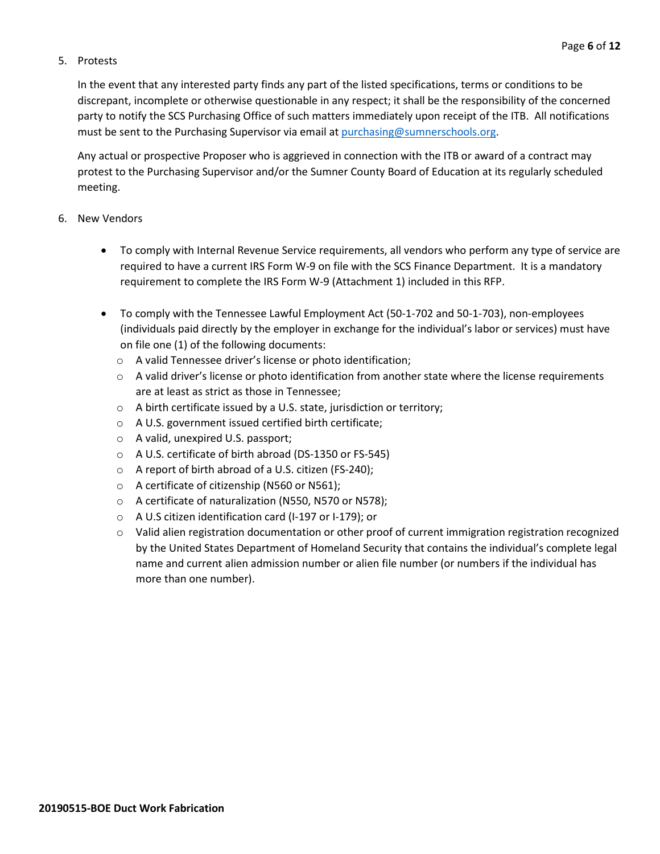#### 5. Protests

In the event that any interested party finds any part of the listed specifications, terms or conditions to be discrepant, incomplete or otherwise questionable in any respect; it shall be the responsibility of the concerned party to notify the SCS Purchasing Office of such matters immediately upon receipt of the ITB. All notifications must be sent to the Purchasing Supervisor via email at [purchasing@sumnerschools.org.](mailto:purchasing@sumnerschools.org)

Any actual or prospective Proposer who is aggrieved in connection with the ITB or award of a contract may protest to the Purchasing Supervisor and/or the Sumner County Board of Education at its regularly scheduled meeting.

#### 6. New Vendors

- To comply with Internal Revenue Service requirements, all vendors who perform any type of service are required to have a current IRS Form W-9 on file with the SCS Finance Department. It is a mandatory requirement to complete the IRS Form W-9 (Attachment 1) included in this RFP.
- To comply with the Tennessee Lawful Employment Act (50-1-702 and 50-1-703), non-employees (individuals paid directly by the employer in exchange for the individual's labor or services) must have on file one (1) of the following documents:
	- o A valid Tennessee driver's license or photo identification;
	- $\circ$  A valid driver's license or photo identification from another state where the license requirements are at least as strict as those in Tennessee;
	- o A birth certificate issued by a U.S. state, jurisdiction or territory;
	- o A U.S. government issued certified birth certificate;
	- o A valid, unexpired U.S. passport;
	- o A U.S. certificate of birth abroad (DS-1350 or FS-545)
	- o A report of birth abroad of a U.S. citizen (FS-240);
	- o A certificate of citizenship (N560 or N561);
	- o A certificate of naturalization (N550, N570 or N578);
	- o A U.S citizen identification card (I-197 or I-179); or
	- o Valid alien registration documentation or other proof of current immigration registration recognized by the United States Department of Homeland Security that contains the individual's complete legal name and current alien admission number or alien file number (or numbers if the individual has more than one number).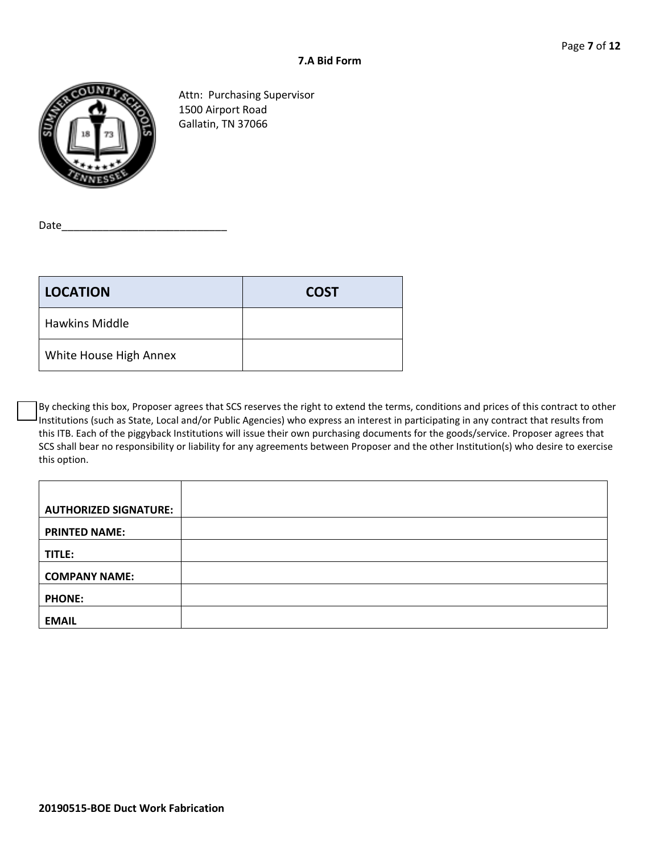

Attn: Purchasing Supervisor 1500 Airport Road Gallatin, TN 37066

Date\_\_\_\_\_\_\_\_\_\_\_\_\_\_\_\_\_\_\_\_\_\_\_\_\_\_\_\_

| <b>LOCATION</b>        | <b>COST</b> |
|------------------------|-------------|
| <b>Hawkins Middle</b>  |             |
| White House High Annex |             |

By checking this box, Proposer agrees that SCS reserves the right to extend the terms, conditions and prices of this contract to other Institutions (such as State, Local and/or Public Agencies) who express an interest in participating in any contract that results from this ITB. Each of the piggyback Institutions will issue their own purchasing documents for the goods/service. Proposer agrees that SCS shall bear no responsibility or liability for any agreements between Proposer and the other Institution(s) who desire to exercise this option.

| <b>AUTHORIZED SIGNATURE:</b> |  |
|------------------------------|--|
| <b>PRINTED NAME:</b>         |  |
| TITLE:                       |  |
| <b>COMPANY NAME:</b>         |  |
| <b>PHONE:</b>                |  |
| <b>EMAIL</b>                 |  |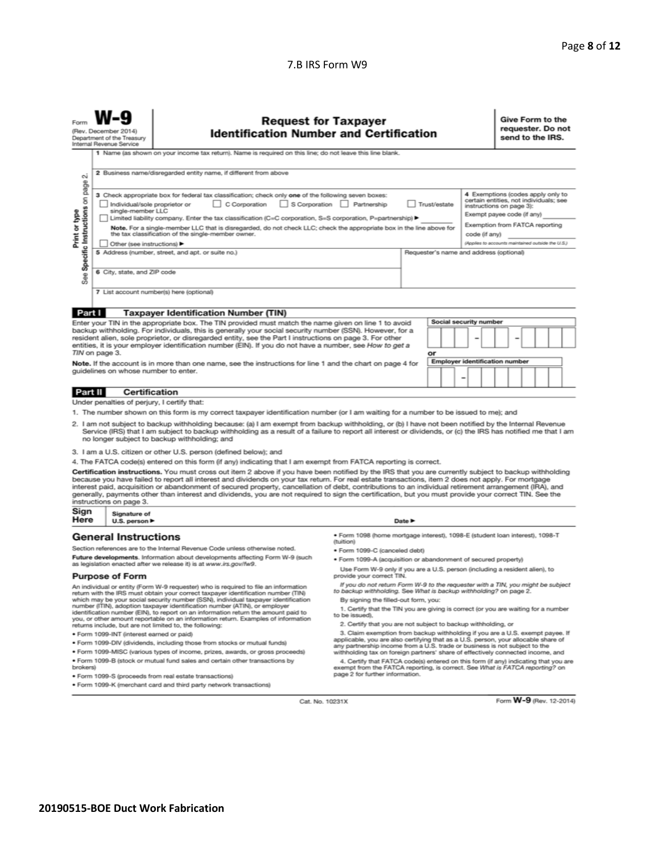#### 7.B IRS Form W9

|                                                                                                                                                                                                                                                                                                                                                                                                                                                                                                                                                                                                                                                                                                                                                                                                                                                                                                                                                             | <b>Request for Taxpayer</b><br><b>Identification Number and Certification</b><br>(Rev. December 2014<br>Department of the Treasury<br>Internal Revenue Service                |                                                                  |                                                                                                                                               |  |  |  |                                                                                                                                                                                                                              | Give Form to the<br>requester. Do not<br>send to the IRS. |  |  |  |  |  |
|-------------------------------------------------------------------------------------------------------------------------------------------------------------------------------------------------------------------------------------------------------------------------------------------------------------------------------------------------------------------------------------------------------------------------------------------------------------------------------------------------------------------------------------------------------------------------------------------------------------------------------------------------------------------------------------------------------------------------------------------------------------------------------------------------------------------------------------------------------------------------------------------------------------------------------------------------------------|-------------------------------------------------------------------------------------------------------------------------------------------------------------------------------|------------------------------------------------------------------|-----------------------------------------------------------------------------------------------------------------------------------------------|--|--|--|------------------------------------------------------------------------------------------------------------------------------------------------------------------------------------------------------------------------------|-----------------------------------------------------------|--|--|--|--|--|
| $\sim$                                                                                                                                                                                                                                                                                                                                                                                                                                                                                                                                                                                                                                                                                                                                                                                                                                                                                                                                                      | 1 Name (as shown on your income tax return). Name is required on this line; do not leave this line blank.<br>2 Business name/disregarded entity name, if different from above |                                                                  |                                                                                                                                               |  |  |  |                                                                                                                                                                                                                              |                                                           |  |  |  |  |  |
| page<br>3 Check appropriate box for federal tax classification; check only one of the following seven boxes:<br>Specific Instructions on<br>C Corporation<br>Trust/estate<br>Individual/sole proprietor or<br>S Corporation Partnership<br>single-member LLC<br>Print or type<br>In Limited liability company. Enter the tax classification (C=C corporation, S=S corporation, P=partnership) ▶<br>Note. For a single-member LLC that is disregarded, do not check LLC; check the appropriate box in the line above for<br>the tax classification of the single-member owner.<br>code (if any)<br>Other (see instructions)                                                                                                                                                                                                                                                                                                                                  |                                                                                                                                                                               |                                                                  |                                                                                                                                               |  |  |  | 4 Exemptions (codes apply only to<br>certain entities, not individuals; see<br>instructions on page 3):<br>Exempt payee code (if any)<br>Exemption from FATCA reporting<br>(Applies to accounts maintained outside the U.S.) |                                                           |  |  |  |  |  |
| See                                                                                                                                                                                                                                                                                                                                                                                                                                                                                                                                                                                                                                                                                                                                                                                                                                                                                                                                                         | 5 Address (number, street, and apt. or suite no.)<br>Requester's name and address (optional)<br>6 City, state, and ZIP code                                                   |                                                                  |                                                                                                                                               |  |  |  |                                                                                                                                                                                                                              |                                                           |  |  |  |  |  |
| 7 List account number(s) here (optional)<br>Part I<br><b>Taxpayer Identification Number (TIN)</b><br>Social security number<br>Enter your TIN in the appropriate box. The TIN provided must match the name given on line 1 to avoid                                                                                                                                                                                                                                                                                                                                                                                                                                                                                                                                                                                                                                                                                                                         |                                                                                                                                                                               |                                                                  |                                                                                                                                               |  |  |  |                                                                                                                                                                                                                              |                                                           |  |  |  |  |  |
| backup withholding. For individuals, this is generally your social security number (SSN). However, for a<br>resident alien, sole proprietor, or disregarded entity, see the Part I instructions on page 3. For other<br>entities, it is your employer identification number (EIN). If you do not have a number, see How to get a<br>TIN on page 3.<br>or<br><b>Employer identification number</b><br>Note. If the account is in more than one name, see the instructions for line 1 and the chart on page 4 for                                                                                                                                                                                                                                                                                                                                                                                                                                             |                                                                                                                                                                               |                                                                  |                                                                                                                                               |  |  |  |                                                                                                                                                                                                                              |                                                           |  |  |  |  |  |
|                                                                                                                                                                                                                                                                                                                                                                                                                                                                                                                                                                                                                                                                                                                                                                                                                                                                                                                                                             | guidelines on whose number to enter.<br>-<br>Certification<br>Part II                                                                                                         |                                                                  |                                                                                                                                               |  |  |  |                                                                                                                                                                                                                              |                                                           |  |  |  |  |  |
|                                                                                                                                                                                                                                                                                                                                                                                                                                                                                                                                                                                                                                                                                                                                                                                                                                                                                                                                                             |                                                                                                                                                                               | Under penalties of perjury, I certify that:                      |                                                                                                                                               |  |  |  |                                                                                                                                                                                                                              |                                                           |  |  |  |  |  |
| 1. The number shown on this form is my correct taxpayer identification number (or I am waiting for a number to be issued to me); and<br>2. I am not subject to backup withholding because: (a) I am exempt from backup withholding, or (b) I have not been notified by the Internal Revenue<br>Service (IRS) that I am subject to backup withholding as a result of a failure to report all interest or dividends, or (c) the IRS has notified me that I am<br>no longer subject to backup withholding; and                                                                                                                                                                                                                                                                                                                                                                                                                                                 |                                                                                                                                                                               |                                                                  |                                                                                                                                               |  |  |  |                                                                                                                                                                                                                              |                                                           |  |  |  |  |  |
|                                                                                                                                                                                                                                                                                                                                                                                                                                                                                                                                                                                                                                                                                                                                                                                                                                                                                                                                                             |                                                                                                                                                                               | 3. I am a U.S. citizen or other U.S. person (defined below); and |                                                                                                                                               |  |  |  |                                                                                                                                                                                                                              |                                                           |  |  |  |  |  |
| 4. The FATCA code(s) entered on this form (if any) indicating that I am exempt from FATCA reporting is correct.<br>Certification instructions. You must cross out item 2 above if you have been notified by the IRS that you are currently subject to backup withholding<br>because you have failed to report all interest and dividends on your tax return. For real estate transactions, item 2 does not apply. For mortgage<br>interest paid, acquisition or abandonment of secured property, cancellation of debt, contributions to an individual retirement arrangement (IRA), and<br>generally, payments other than interest and dividends, you are not required to sign the certification, but you must provide your correct TIN. See the<br>instructions on page 3.                                                                                                                                                                                 |                                                                                                                                                                               |                                                                  |                                                                                                                                               |  |  |  |                                                                                                                                                                                                                              |                                                           |  |  |  |  |  |
| Sign<br>Here                                                                                                                                                                                                                                                                                                                                                                                                                                                                                                                                                                                                                                                                                                                                                                                                                                                                                                                                                | Signature of<br>U.S. person $\blacktriangleright$                                                                                                                             |                                                                  | Date $\blacktriangleright$                                                                                                                    |  |  |  |                                                                                                                                                                                                                              |                                                           |  |  |  |  |  |
|                                                                                                                                                                                                                                                                                                                                                                                                                                                                                                                                                                                                                                                                                                                                                                                                                                                                                                                                                             | · Form 1098 (home mortgage interest), 1098-E (student loan interest), 1098-T<br><b>General Instructions</b><br>(tuition)                                                      |                                                                  |                                                                                                                                               |  |  |  |                                                                                                                                                                                                                              |                                                           |  |  |  |  |  |
| Section references are to the Internal Revenue Code unless otherwise noted.<br>· Form 1099-C (canceled debt)                                                                                                                                                                                                                                                                                                                                                                                                                                                                                                                                                                                                                                                                                                                                                                                                                                                |                                                                                                                                                                               |                                                                  |                                                                                                                                               |  |  |  |                                                                                                                                                                                                                              |                                                           |  |  |  |  |  |
| Future developments. Information about developments affecting Form W-9 (such<br>as legislation enacted after we release it) is at www.irs.gov/fw9.                                                                                                                                                                                                                                                                                                                                                                                                                                                                                                                                                                                                                                                                                                                                                                                                          |                                                                                                                                                                               |                                                                  | · Form 1099-A (acquisition or abandonment of secured property)<br>Use Form W-9 only if you are a U.S. person (including a resident alien), to |  |  |  |                                                                                                                                                                                                                              |                                                           |  |  |  |  |  |
|                                                                                                                                                                                                                                                                                                                                                                                                                                                                                                                                                                                                                                                                                                                                                                                                                                                                                                                                                             | <b>Purpose of Form</b>                                                                                                                                                        | provide your correct TIN.                                        |                                                                                                                                               |  |  |  |                                                                                                                                                                                                                              |                                                           |  |  |  |  |  |
| If you do not return Form W-9 to the requester with a TIN, you might be subject<br>An individual or entity (Form W-9 requester) who is required to file an information<br>to backup withholding. See What is backup withholding? on page 2.<br>return with the IRS must obtain your correct taxpayer identification number (TIN)<br>which may be your social security number (SSN), individual taxpayer identification<br>By signing the filled-out form, you:<br>number (ITIN), adoption taxpayer identification number (ATIN), or employer<br>1. Certify that the TIN you are giving is correct (or you are waiting for a number<br>identification number (EIN), to report on an information return the amount paid to<br>to be issued).<br>you, or other amount reportable on an information return. Examples of information<br>2. Certify that you are not subject to backup withholding, or<br>returns include, but are not limited to, the following: |                                                                                                                                                                               |                                                                  |                                                                                                                                               |  |  |  |                                                                                                                                                                                                                              |                                                           |  |  |  |  |  |

· Form 1099-INT (interest earned or paid)

- . Form 1099-DIV (dividends, including those from stocks or mutual funds)
- · Form 1099-MISC (various types of income, prizes, awards, or gross proceeds)
- . Form 1099-B (stock or mutual fund sales and certain other transactions by brokers)
- · Form 1099-S (proceeds from real estate transactions)
- · Form 1099-K (merchant card and third party network transactions)
- 2. Certify that you are not subject to backup withholding, or
- 2. Certify that you are not subject to backup withholding, or<br>3. Claim exemption from backup withholding if you are a U.S. exempt payee. If<br>applicable, you are also certifying that as a U.S. person, your allocable share of

4. Certify that FATCA code(s) entered on this form (if any) indicating that you are<br>exempt from the FATCA reporting, is correct. See What is FATCA reporting?<br>page 2 for further information.

Cat. No. 10231X

Form W-9 (Rev. 12-2014)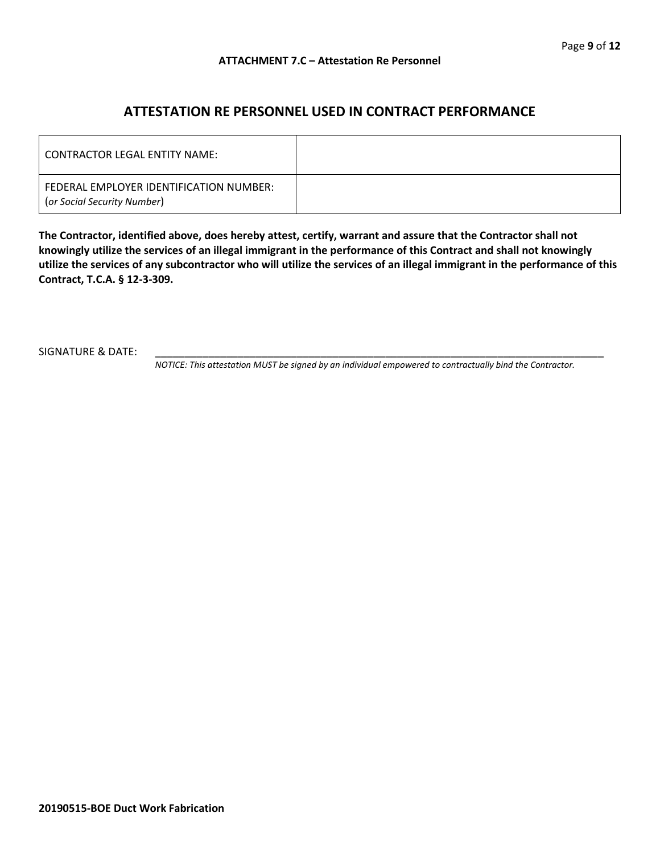### **ATTESTATION RE PERSONNEL USED IN CONTRACT PERFORMANCE**

| LCONTRACTOR LEGAL ENTITY NAME:                                         |  |
|------------------------------------------------------------------------|--|
| FEDERAL EMPLOYER IDENTIFICATION NUMBER:<br>(or Social Security Number) |  |

**The Contractor, identified above, does hereby attest, certify, warrant and assure that the Contractor shall not knowingly utilize the services of an illegal immigrant in the performance of this Contract and shall not knowingly utilize the services of any subcontractor who will utilize the services of an illegal immigrant in the performance of this Contract, T.C.A. § 12-3-309.**

SIGNATURE & DATE:

*NOTICE: This attestation MUST be signed by an individual empowered to contractually bind the Contractor.*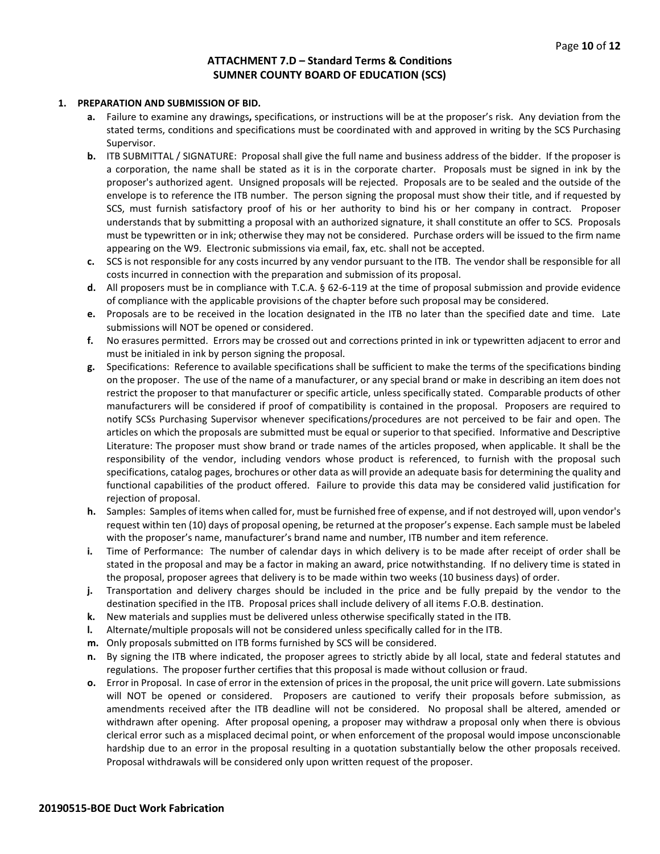#### **ATTACHMENT 7.D – Standard Terms & Conditions SUMNER COUNTY BOARD OF EDUCATION (SCS)**

#### **1. PREPARATION AND SUBMISSION OF BID.**

- **a.** Failure to examine any drawings**,** specifications, or instructions will be at the proposer's risk. Any deviation from the stated terms, conditions and specifications must be coordinated with and approved in writing by the SCS Purchasing Supervisor.
- **b.** ITB SUBMITTAL / SIGNATURE: Proposal shall give the full name and business address of the bidder. If the proposer is a corporation, the name shall be stated as it is in the corporate charter. Proposals must be signed in ink by the proposer's authorized agent. Unsigned proposals will be rejected. Proposals are to be sealed and the outside of the envelope is to reference the ITB number. The person signing the proposal must show their title, and if requested by SCS, must furnish satisfactory proof of his or her authority to bind his or her company in contract. Proposer understands that by submitting a proposal with an authorized signature, it shall constitute an offer to SCS. Proposals must be typewritten or in ink; otherwise they may not be considered. Purchase orders will be issued to the firm name appearing on the W9. Electronic submissions via email, fax, etc. shall not be accepted.
- **c.** SCS is not responsible for any costs incurred by any vendor pursuant to the ITB. The vendor shall be responsible for all costs incurred in connection with the preparation and submission of its proposal.
- **d.** All proposers must be in compliance with T.C.A. § 62-6-119 at the time of proposal submission and provide evidence of compliance with the applicable provisions of the chapter before such proposal may be considered.
- **e.** Proposals are to be received in the location designated in the ITB no later than the specified date and time. Late submissions will NOT be opened or considered.
- **f.** No erasures permitted. Errors may be crossed out and corrections printed in ink or typewritten adjacent to error and must be initialed in ink by person signing the proposal.
- **g.** Specifications: Reference to available specifications shall be sufficient to make the terms of the specifications binding on the proposer. The use of the name of a manufacturer, or any special brand or make in describing an item does not restrict the proposer to that manufacturer or specific article, unless specifically stated. Comparable products of other manufacturers will be considered if proof of compatibility is contained in the proposal. Proposers are required to notify SCSs Purchasing Supervisor whenever specifications/procedures are not perceived to be fair and open. The articles on which the proposals are submitted must be equal or superior to that specified. Informative and Descriptive Literature: The proposer must show brand or trade names of the articles proposed, when applicable. It shall be the responsibility of the vendor, including vendors whose product is referenced, to furnish with the proposal such specifications, catalog pages, brochures or other data as will provide an adequate basis for determining the quality and functional capabilities of the product offered. Failure to provide this data may be considered valid justification for rejection of proposal.
- **h.** Samples: Samples of items when called for, must be furnished free of expense, and if not destroyed will, upon vendor's request within ten (10) days of proposal opening, be returned at the proposer's expense. Each sample must be labeled with the proposer's name, manufacturer's brand name and number, ITB number and item reference.
- **i.** Time of Performance: The number of calendar days in which delivery is to be made after receipt of order shall be stated in the proposal and may be a factor in making an award, price notwithstanding. If no delivery time is stated in the proposal, proposer agrees that delivery is to be made within two weeks (10 business days) of order.
- **j.** Transportation and delivery charges should be included in the price and be fully prepaid by the vendor to the destination specified in the ITB. Proposal prices shall include delivery of all items F.O.B. destination.
- **k.** New materials and supplies must be delivered unless otherwise specifically stated in the ITB.
- **l.** Alternate/multiple proposals will not be considered unless specifically called for in the ITB.
- **m.** Only proposals submitted on ITB forms furnished by SCS will be considered.
- **n.** By signing the ITB where indicated, the proposer agrees to strictly abide by all local, state and federal statutes and regulations. The proposer further certifies that this proposal is made without collusion or fraud.
- **o.** Error in Proposal. In case of error in the extension of prices in the proposal, the unit price will govern. Late submissions will NOT be opened or considered. Proposers are cautioned to verify their proposals before submission, as amendments received after the ITB deadline will not be considered. No proposal shall be altered, amended or withdrawn after opening. After proposal opening, a proposer may withdraw a proposal only when there is obvious clerical error such as a misplaced decimal point, or when enforcement of the proposal would impose unconscionable hardship due to an error in the proposal resulting in a quotation substantially below the other proposals received. Proposal withdrawals will be considered only upon written request of the proposer.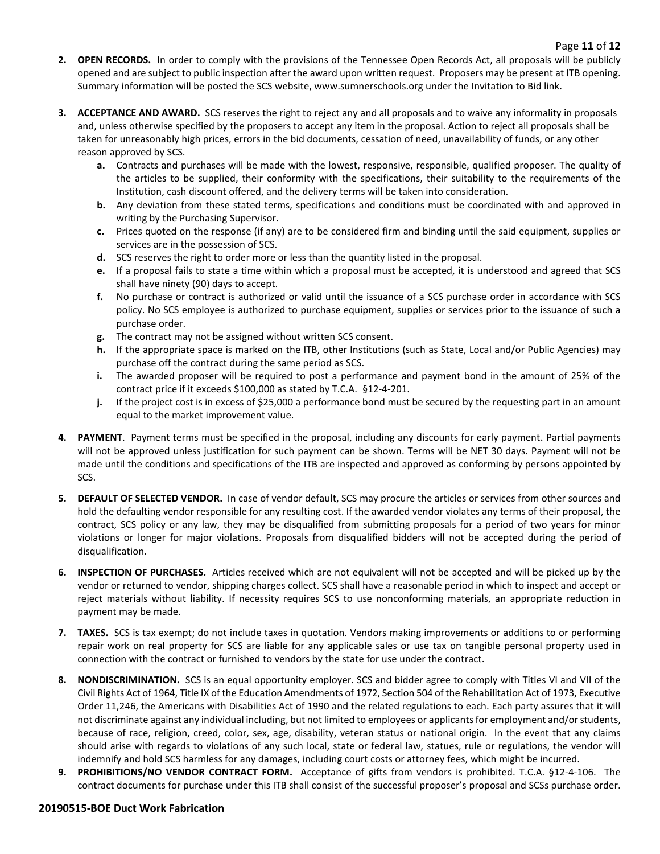- **2. OPEN RECORDS.** In order to comply with the provisions of the Tennessee Open Records Act, all proposals will be publicly opened and are subject to public inspection after the award upon written request. Proposers may be present at ITB opening. Summary information will be posted the SCS website, www.sumnerschools.org under the Invitation to Bid link.
- **3. ACCEPTANCE AND AWARD.** SCS reserves the right to reject any and all proposals and to waive any informality in proposals and, unless otherwise specified by the proposers to accept any item in the proposal. Action to reject all proposals shall be taken for unreasonably high prices, errors in the bid documents, cessation of need, unavailability of funds, or any other reason approved by SCS.
	- **a.** Contracts and purchases will be made with the lowest, responsive, responsible, qualified proposer. The quality of the articles to be supplied, their conformity with the specifications, their suitability to the requirements of the Institution, cash discount offered, and the delivery terms will be taken into consideration.
	- **b.** Any deviation from these stated terms, specifications and conditions must be coordinated with and approved in writing by the Purchasing Supervisor.
	- **c.** Prices quoted on the response (if any) are to be considered firm and binding until the said equipment, supplies or services are in the possession of SCS.
	- **d.** SCS reserves the right to order more or less than the quantity listed in the proposal.
	- **e.** If a proposal fails to state a time within which a proposal must be accepted, it is understood and agreed that SCS shall have ninety (90) days to accept.
	- **f.** No purchase or contract is authorized or valid until the issuance of a SCS purchase order in accordance with SCS policy. No SCS employee is authorized to purchase equipment, supplies or services prior to the issuance of such a purchase order.
	- **g.** The contract may not be assigned without written SCS consent.
	- **h.** If the appropriate space is marked on the ITB, other Institutions (such as State, Local and/or Public Agencies) may purchase off the contract during the same period as SCS.
	- **i.** The awarded proposer will be required to post a performance and payment bond in the amount of 25% of the contract price if it exceeds \$100,000 as stated by T.C.A. §12-4-201.
	- **j.** If the project cost is in excess of \$25,000 a performance bond must be secured by the requesting part in an amount equal to the market improvement value.
- **4. PAYMENT**. Payment terms must be specified in the proposal, including any discounts for early payment. Partial payments will not be approved unless justification for such payment can be shown. Terms will be NET 30 days. Payment will not be made until the conditions and specifications of the ITB are inspected and approved as conforming by persons appointed by SCS.
- **5. DEFAULT OF SELECTED VENDOR.** In case of vendor default, SCS may procure the articles or services from other sources and hold the defaulting vendor responsible for any resulting cost. If the awarded vendor violates any terms of their proposal, the contract, SCS policy or any law, they may be disqualified from submitting proposals for a period of two years for minor violations or longer for major violations. Proposals from disqualified bidders will not be accepted during the period of disqualification.
- **6. INSPECTION OF PURCHASES.** Articles received which are not equivalent will not be accepted and will be picked up by the vendor or returned to vendor, shipping charges collect. SCS shall have a reasonable period in which to inspect and accept or reject materials without liability. If necessity requires SCS to use nonconforming materials, an appropriate reduction in payment may be made.
- **7. TAXES.** SCS is tax exempt; do not include taxes in quotation. Vendors making improvements or additions to or performing repair work on real property for SCS are liable for any applicable sales or use tax on tangible personal property used in connection with the contract or furnished to vendors by the state for use under the contract.
- **8. NONDISCRIMINATION.** SCS is an equal opportunity employer. SCS and bidder agree to comply with Titles VI and VII of the Civil Rights Act of 1964, Title IX of the Education Amendments of 1972, Section 504 of the Rehabilitation Act of 1973, Executive Order 11,246, the Americans with Disabilities Act of 1990 and the related regulations to each. Each party assures that it will not discriminate against any individual including, but not limited to employees or applicants for employment and/or students, because of race, religion, creed, color, sex, age, disability, veteran status or national origin. In the event that any claims should arise with regards to violations of any such local, state or federal law, statues, rule or regulations, the vendor will indemnify and hold SCS harmless for any damages, including court costs or attorney fees, which might be incurred.
- **9. PROHIBITIONS/NO VENDOR CONTRACT FORM.** Acceptance of gifts from vendors is prohibited. T.C.A. §12-4-106. The contract documents for purchase under this ITB shall consist of the successful proposer's proposal and SCSs purchase order.

#### **20190515-BOE Duct Work Fabrication**